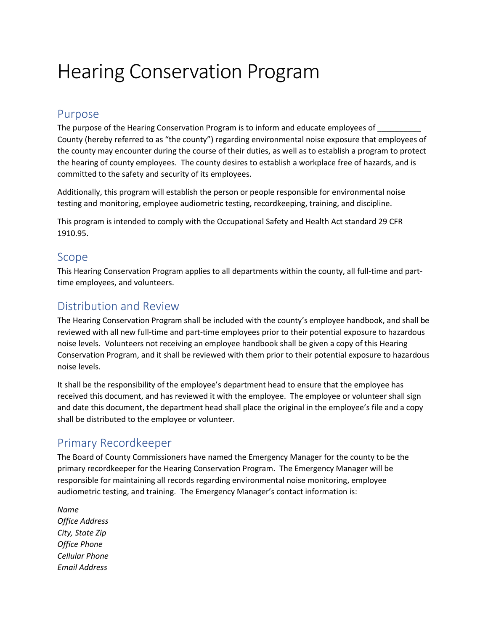# Hearing Conservation Program

#### Purpose

The purpose of the Hearing Conservation Program is to inform and educate employees of County (hereby referred to as "the county") regarding environmental noise exposure that employees of the county may encounter during the course of their duties, as well as to establish a program to protect the hearing of county employees. The county desires to establish a workplace free of hazards, and is committed to the safety and security of its employees.

Additionally, this program will establish the person or people responsible for environmental noise testing and monitoring, employee audiometric testing, recordkeeping, training, and discipline.

This program is intended to comply with the Occupational Safety and Health Act standard 29 CFR 1910.95.

#### Scope

This Hearing Conservation Program applies to all departments within the county, all full-time and parttime employees, and volunteers.

## Distribution and Review

The Hearing Conservation Program shall be included with the county's employee handbook, and shall be reviewed with all new full-time and part-time employees prior to their potential exposure to hazardous noise levels. Volunteers not receiving an employee handbook shall be given a copy of this Hearing Conservation Program, and it shall be reviewed with them prior to their potential exposure to hazardous noise levels.

It shall be the responsibility of the employee's department head to ensure that the employee has received this document, and has reviewed it with the employee. The employee or volunteer shall sign and date this document, the department head shall place the original in the employee's file and a copy shall be distributed to the employee or volunteer.

## Primary Recordkeeper

The Board of County Commissioners have named the Emergency Manager for the county to be the primary recordkeeper for the Hearing Conservation Program. The Emergency Manager will be responsible for maintaining all records regarding environmental noise monitoring, employee audiometric testing, and training. The Emergency Manager's contact information is:

*Name Office Address City, State Zip Office Phone Cellular Phone Email Address*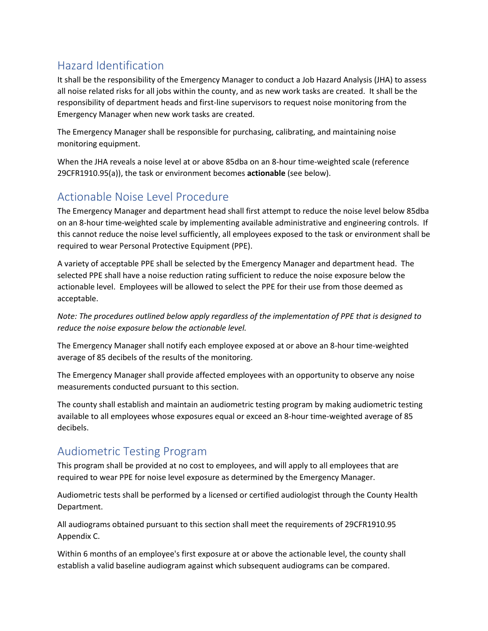## Hazard Identification

It shall be the responsibility of the Emergency Manager to conduct a Job Hazard Analysis (JHA) to assess all noise related risks for all jobs within the county, and as new work tasks are created. It shall be the responsibility of department heads and first-line supervisors to request noise monitoring from the Emergency Manager when new work tasks are created.

The Emergency Manager shall be responsible for purchasing, calibrating, and maintaining noise monitoring equipment.

When the JHA reveals a noise level at or above 85dba on an 8-hour time-weighted scale (reference 29CFR1910.95(a)), the task or environment becomes **actionable** (see below).

## Actionable Noise Level Procedure

The Emergency Manager and department head shall first attempt to reduce the noise level below 85dba on an 8-hour time-weighted scale by implementing available administrative and engineering controls. If this cannot reduce the noise level sufficiently, all employees exposed to the task or environment shall be required to wear Personal Protective Equipment (PPE).

A variety of acceptable PPE shall be selected by the Emergency Manager and department head. The selected PPE shall have a noise reduction rating sufficient to reduce the noise exposure below the actionable level. Employees will be allowed to select the PPE for their use from those deemed as acceptable.

*Note: The procedures outlined below apply regardless of the implementation of PPE that is designed to reduce the noise exposure below the actionable level.*

The Emergency Manager shall notify each employee exposed at or above an 8-hour time-weighted average of 85 decibels of the results of the monitoring.

The Emergency Manager shall provide affected employees with an opportunity to observe any noise measurements conducted pursuant to this section.

The county shall establish and maintain an audiometric testing program by making audiometric testing available to all employees whose exposures equal or exceed an 8-hour time-weighted average of 85 decibels.

## Audiometric Testing Program

This program shall be provided at no cost to employees, and will apply to all employees that are required to wear PPE for noise level exposure as determined by the Emergency Manager.

Audiometric tests shall be performed by a licensed or certified audiologist through the County Health Department.

All audiograms obtained pursuant to this section shall meet the requirements of 29CFR1910.95 Appendix C.

Within 6 months of an employee's first exposure at or above the actionable level, the county shall establish a valid baseline audiogram against which subsequent audiograms can be compared.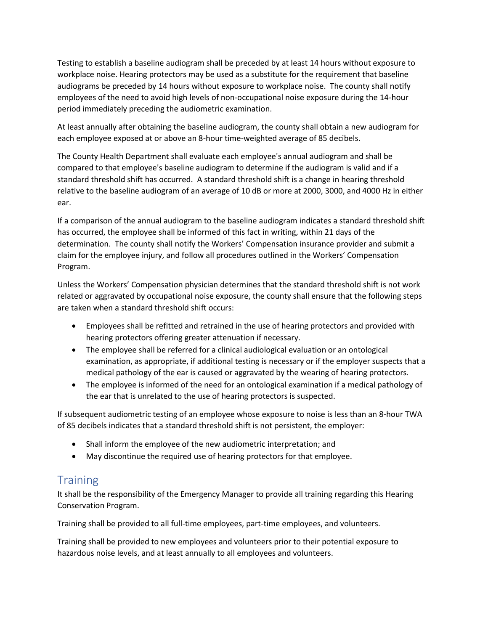Testing to establish a baseline audiogram shall be preceded by at least 14 hours without exposure to workplace noise. Hearing protectors may be used as a substitute for the requirement that baseline audiograms be preceded by 14 hours without exposure to workplace noise. The county shall notify employees of the need to avoid high levels of non-occupational noise exposure during the 14-hour period immediately preceding the audiometric examination.

At least annually after obtaining the baseline audiogram, the county shall obtain a new audiogram for each employee exposed at or above an 8-hour time-weighted average of 85 decibels.

The County Health Department shall evaluate each employee's annual audiogram and shall be compared to that employee's baseline audiogram to determine if the audiogram is valid and if a standard threshold shift has occurred. A standard threshold shift is a change in hearing threshold relative to the baseline audiogram of an average of 10 dB or more at 2000, 3000, and 4000 Hz in either ear.

If a comparison of the annual audiogram to the baseline audiogram indicates a standard threshold shift has occurred, the employee shall be informed of this fact in writing, within 21 days of the determination. The county shall notify the Workers' Compensation insurance provider and submit a claim for the employee injury, and follow all procedures outlined in the Workers' Compensation Program.

Unless the Workers' Compensation physician determines that the standard threshold shift is not work related or aggravated by occupational noise exposure, the county shall ensure that the following steps are taken when a standard threshold shift occurs:

- Employees shall be refitted and retrained in the use of hearing protectors and provided with hearing protectors offering greater attenuation if necessary.
- The employee shall be referred for a clinical audiological evaluation or an ontological examination, as appropriate, if additional testing is necessary or if the employer suspects that a medical pathology of the ear is caused or aggravated by the wearing of hearing protectors.
- The employee is informed of the need for an ontological examination if a medical pathology of the ear that is unrelated to the use of hearing protectors is suspected.

If subsequent audiometric testing of an employee whose exposure to noise is less than an 8-hour TWA of 85 decibels indicates that a standard threshold shift is not persistent, the employer:

- Shall inform the employee of the new audiometric interpretation; and
- May discontinue the required use of hearing protectors for that employee.

## **Training**

It shall be the responsibility of the Emergency Manager to provide all training regarding this Hearing Conservation Program.

Training shall be provided to all full-time employees, part-time employees, and volunteers.

Training shall be provided to new employees and volunteers prior to their potential exposure to hazardous noise levels, and at least annually to all employees and volunteers.